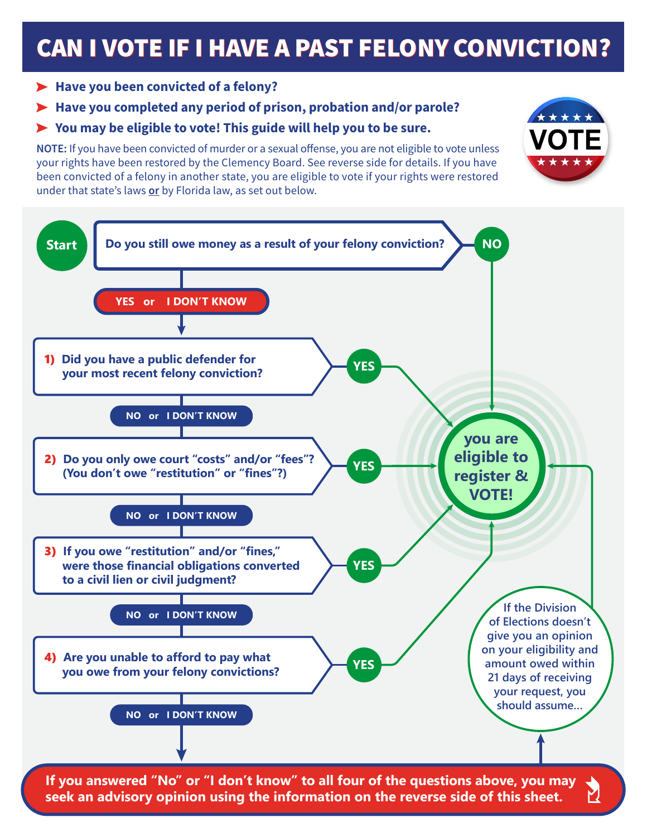# **CAN I VOTE IF I HAVE A PAST FELONY CONVICTION?**

\*\*\*\*\*

\* \* \* \* \*

## > Have you been convicted of a felony?

# Have you completed any period of prison, probation and/or parole?

## You may be eligible to vote! This guide will help you to be sure.

NOTE: If you have been convicted of murder or a sexual offense, you are not eligible to vote unless your rights have been restored by the Clemency Board. See reverse side for details. If you have been convicted of a felony in another state, you are eligible to vote if your rights were restored under that state's laws or by Florida law, as set out below.



**If you answered "No" or "I don't know" to all four of the questions above, you may seek an advisory opinion using the information on the reverse side of this sheet.**